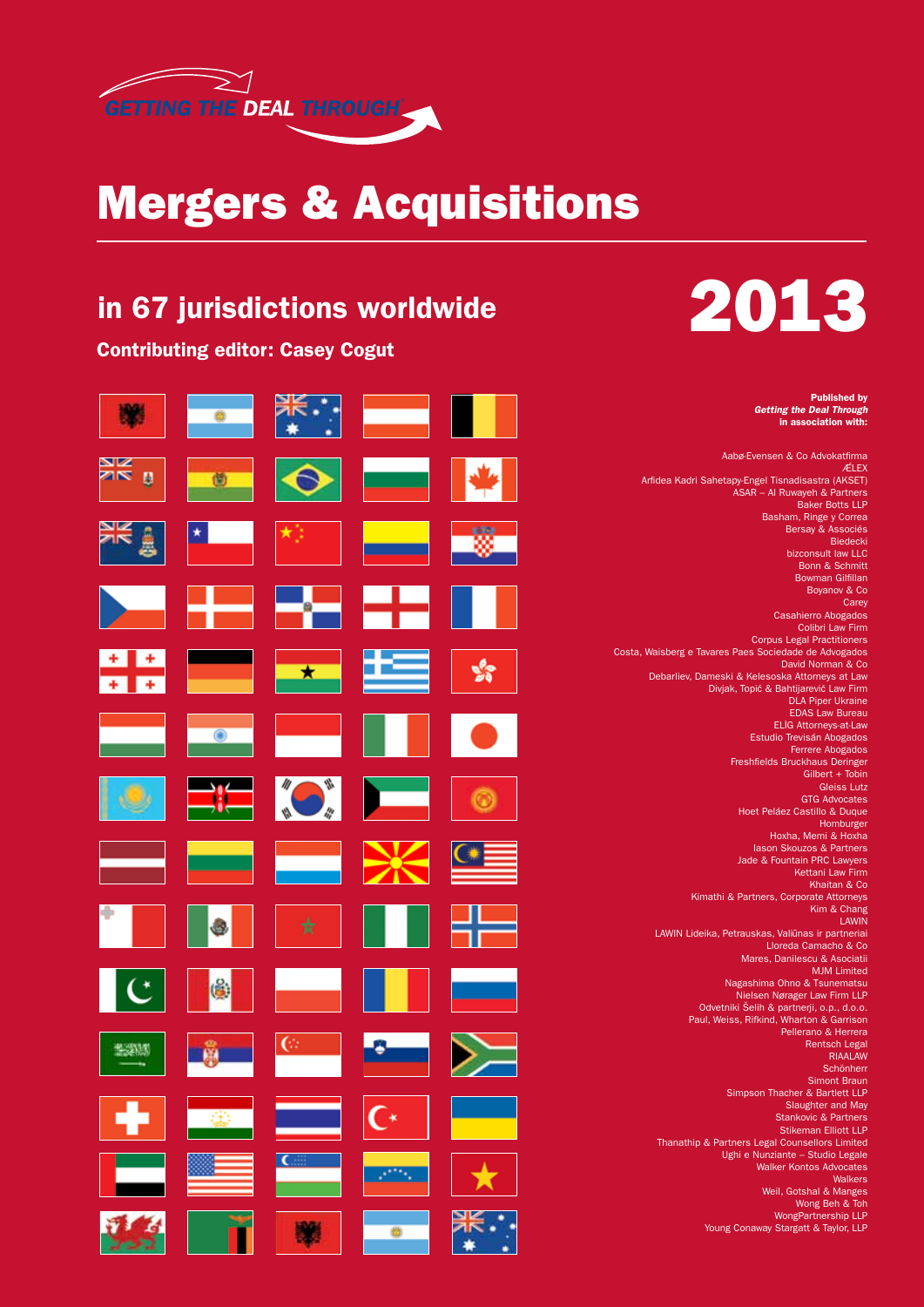

## Mergers & Acquisitions

### in 67 jurisdictions worldwide

Contributing editor: Casey Cogut





Published by *Getting the Deal Through* in association with:

Aabø-Evensen & Co Advokatfirma **ÆLEX** Arfidea Kadri Sahetapy-Engel Tisnadisastra (AKSET) ASAR – Al Ruwayeh & Partners Baker Botts LLP Basham, Ringe y Correa Bersay & Associés Biedecki bizconsult law LLC Bonn & Schmitt Bowman Gilfillan Boyanov & Co **Carey** Casahierro Abogados Colibri Law Firm Corpus Legal Practitioners Costa, Waisberg e Tavares Paes Sociedade de Advogados David Norman & Co Debarliev, Dameski & Kelesoska Attorneys at Law Divjak, Topić & Bahtijarević Law Firm DLA Piper Ukraine EDAS Law Bureau **ELIG Attorneys-at-Law** Estudio Trevisán Abogados Ferrere Abogados Freshfields Bruckhaus Deringer Gilbert + Tobin Gleiss Lutz GTG Advocates Hoet Peláez Castillo & Duque **Homburger** Hoxha, Memi & Hoxha Iason Skouzos & Partners Jade & Fountain PRC Lawyers Kettani Law Firm Khaitan & Co Kimathi & Partners, Corporate Attorneys Kim & Chang **LAWIN** LAWIN Lideika, Petrauskas, Valiūnas ir partneriai Lloreda Camacho & Co Mares, Danilescu & Asociatii MJM Limited Nagashima Ohno & Tsunematsu Nielsen Nørager Law Firm LLP Odvetniki Šelih & partnerji, o.p., d.o.o. Paul, Weiss, Rifkind, Wharton & Garrison Pellerano & Herrera Rentsch Legal RIAALAW Schönherr Simont Braun Simpson Thacher & Bartlett LLP Slaughter and May Stankovic & Partners Stikeman Elliott LLP Thanathip & Partners Legal Counsellors Limited Ughi e Nunziante – Studio Legale Walker Kontos Advocates Walkers Weil, Gotshal & Manges Wong Beh & Toh WongPartnership LLP Young Conaway Stargatt & Taylor, LLP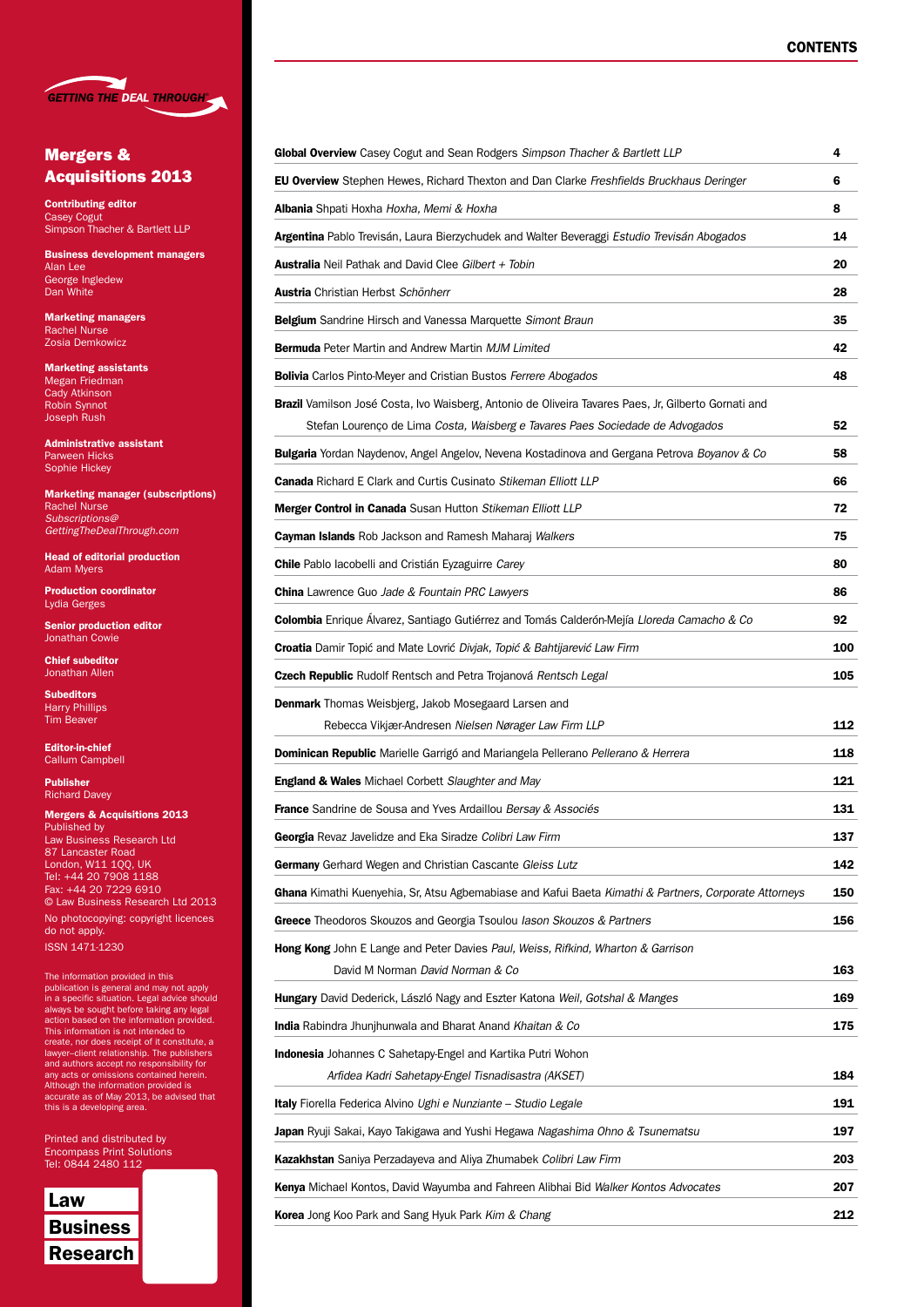

#### Mergers & Acquisitions 2013

Contributing editor Casey Cogut Simpson Thacher & Bartlett LLP

Business development managers Alan Lee George Ingledew Dan White

Marketing managers Rachel Nurse Zosia Demkowicz

Marketing assistants Megan Friedman Cady Atkinson Robin Synnot Joseph Rush

Administrative assistant Parween Hicks Sophie Hickey

Marketing manager (subscriptions) Rachel Nurse *Subscriptions@ GettingTheDealThrough.com*

Head of editorial production Adam Myers

Production coordinator Lydia Gerges

Senior production editor Jonathan Cowie

Chief subeditor Jonathan Allen

Subeditors Harry Phillips Tim Beaver

Editor-in-chief Callum Campbell

Publisher Richard Davey

Mergers & Acquisitions 2013 Published by Law Business Research Ltd

87 Lancaster Road London, W11 1QQ, UK Tel: +44 20 7908 1188 Fax: +44 20 7229 6910 © Law Business Research Ltd 2013 No photocopying: copyright licences do not apply.

ISSN 1471-1230

The information provided in this publication is general and may not apply<br>in a specific situation. Legal advice should<br>always be sought before taking any legal<br>action based on the information provided.<br>This information is not intended to<br>create, nor does lawyer–client relationship. The publishers and authors accept no responsibility for any acts or omissions contained herein. Although the information provided is accurate as of May 2013, be advised that this is a developing area.

Printed and distributed by Encompass Print Solutions Tel: 0844 2480 112



| Global Overview Casey Cogut and Sean Rodgers Simpson Thacher & Bartlett LLP                                                                                                                         | 4   |
|-----------------------------------------------------------------------------------------------------------------------------------------------------------------------------------------------------|-----|
| <b>EU Overview</b> Stephen Hewes, Richard Thexton and Dan Clarke Freshfields Bruckhaus Deringer                                                                                                     | 6   |
| <b>Albania</b> Shpati Hoxha Hoxha, Memi & Hoxha                                                                                                                                                     | 8   |
| Argentina Pablo Trevisán, Laura Bierzychudek and Walter Beveraggi Estudio Trevisán Abogados                                                                                                         | 14  |
| <b>Australia</b> Neil Pathak and David Clee Gilbert + Tobin                                                                                                                                         | 20  |
| Austria Christian Herbst Schönherr                                                                                                                                                                  | 28  |
| Belgium Sandrine Hirsch and Vanessa Marquette Simont Braun                                                                                                                                          | 35  |
| <b>Bermuda</b> Peter Martin and Andrew Martin MJM Limited                                                                                                                                           | 42  |
| <b>Bolivia</b> Carlos Pinto-Meyer and Cristian Bustos Ferrere Abogados                                                                                                                              | 48  |
| <b>Brazil</b> Vamilson José Costa, Ivo Waisberg, Antonio de Oliveira Tavares Paes, Jr, Gilberto Gornati and<br>Stefan Lourenço de Lima <i>Costa, Waisberg e Tavares Paes Sociedade de Advogados</i> | 52  |
| Bulgaria Yordan Naydenov, Angel Angelov, Nevena Kostadinova and Gergana Petrova Boyanov & Co                                                                                                        | 58  |
| <b>Canada</b> Richard E Clark and Curtis Cusinato Stikeman Elliott LLP                                                                                                                              | 66  |
| Merger Control in Canada Susan Hutton Stikeman Elliott LLP                                                                                                                                          | 72  |
| <b>Cayman Islands</b> Rob Jackson and Ramesh Maharaj Walkers                                                                                                                                        | 75  |
| <b>Chile</b> Pablo lacobelli and Cristián Eyzaguirre Carey                                                                                                                                          | 80  |
| <b>China</b> Lawrence Guo Jade & Fountain PRC Lawyers                                                                                                                                               | 86  |
| Colombia Enrique Álvarez, Santiago Gutiérrez and Tomás Calderón-Mejía Lloreda Camacho & Co                                                                                                          | 92  |
| Croatia Damir Topić and Mate Lovrić Divjak, Topić & Bahtijarević Law Firm                                                                                                                           | 100 |
| <b>Czech Republic</b> Rudolf Rentsch and Petra Trojanová <i>Rentsch Legal</i>                                                                                                                       | 105 |
| Denmark Thomas Weisbjerg, Jakob Mosegaard Larsen and                                                                                                                                                |     |
| Rebecca Vikjær-Andresen Nielsen Nørager Law Firm LLP                                                                                                                                                | 112 |
| Dominican Republic Marielle Garrigó and Mariangela Pellerano Pellerano & Herrera                                                                                                                    | 118 |
| <b>England &amp; Wales</b> Michael Corbett Slaughter and May                                                                                                                                        | 121 |
| <b>France</b> Sandrine de Sousa and Yves Ardaillou Bersay & Associés                                                                                                                                | 131 |
| <b>Georgia</b> Revaz Javelidze and Eka Siradze <i>Colibri Law Firm</i>                                                                                                                              | 137 |
| Germany Gerhard Wegen and Christian Cascante Gleiss Lutz                                                                                                                                            | 142 |
| Ghana Kimathi Kuenyehia, Sr, Atsu Agbemabiase and Kafui Baeta Kimathi & Partners, Corporate Attorneys                                                                                               | 150 |
| Greece Theodoros Skouzos and Georgia Tsoulou lason Skouzos & Partners                                                                                                                               | 156 |
| <b>Hong Kong</b> John E Lange and Peter Davies Paul, Weiss, Rifkind, Wharton & Garrison<br>David M Norman David Norman & Co                                                                         | 163 |
| Hungary David Dederick, László Nagy and Eszter Katona Weil, Gotshal & Manges                                                                                                                        | 169 |
| India Rabindra Jhunjhunwala and Bharat Anand Khaitan & Co                                                                                                                                           | 175 |
| <b>Indonesia</b> Johannes C Sahetapy-Engel and Kartika Putri Wohon<br>Arfidea Kadri Sahetapy-Engel Tisnadisastra (AKSET)                                                                            | 184 |
| <b>Italy</b> Fiorella Federica Alvino Ughi e Nunziante – Studio Legale                                                                                                                              | 191 |
| Japan Ryuji Sakai, Kayo Takigawa and Yushi Hegawa Nagashima Ohno & Tsunematsu                                                                                                                       | 197 |
| Kazakhstan Saniya Perzadayeva and Aliya Zhumabek Colibri Law Firm                                                                                                                                   | 203 |
| Kenya Michael Kontos, David Wayumba and Fahreen Alibhai Bid Walker Kontos Advocates                                                                                                                 | 207 |
| Korea Jong Koo Park and Sang Hyuk Park Kim & Chang                                                                                                                                                  | 212 |
|                                                                                                                                                                                                     |     |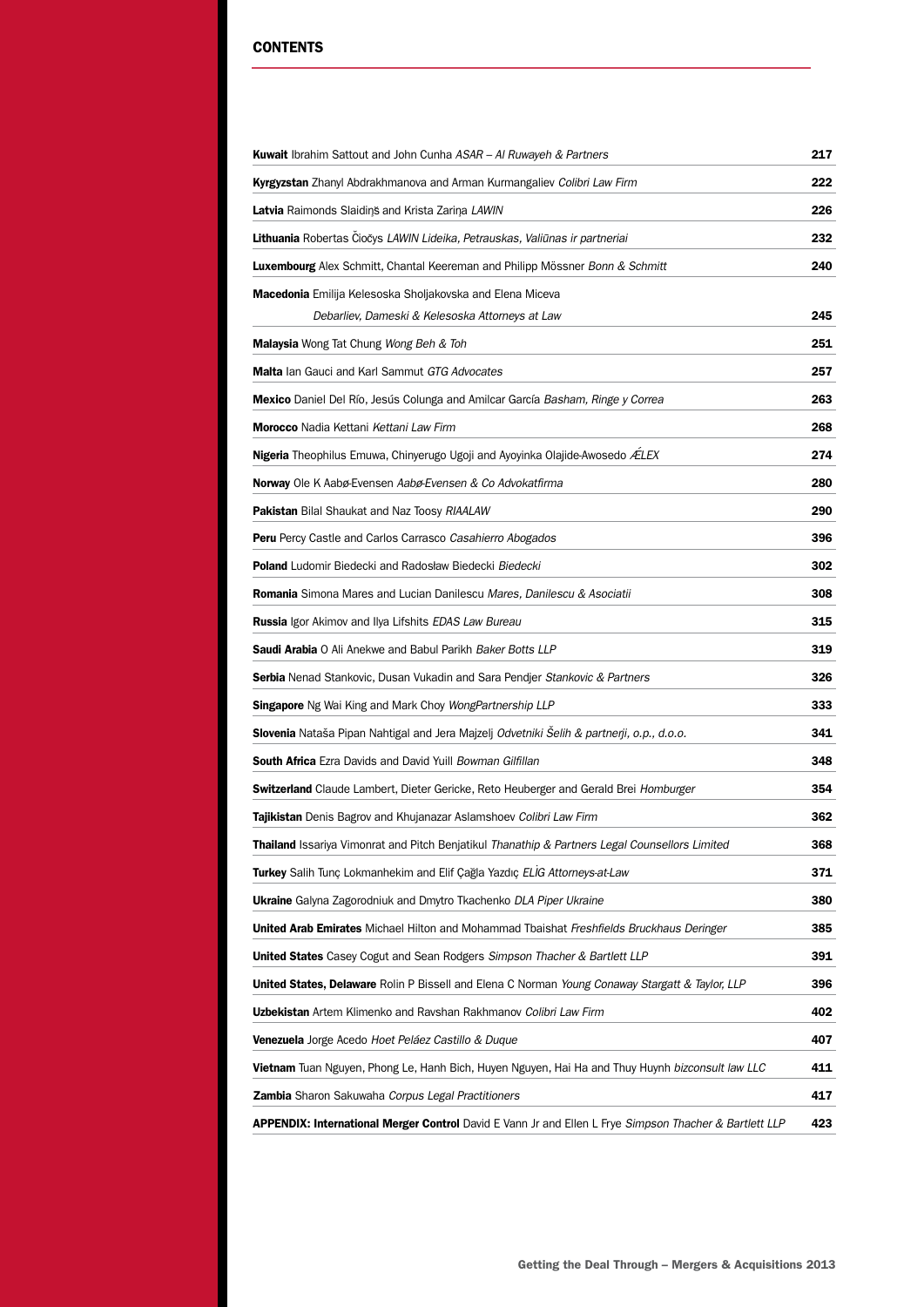#### **CONTENTS**

| <b>Kuwait</b> Ibrahim Sattout and John Cunha ASAR - AI Ruwayeh & Partners                                         | 217 |
|-------------------------------------------------------------------------------------------------------------------|-----|
| Kyrgyzstan Zhanyl Abdrakhmanova and Arman Kurmangaliev Colibri Law Firm                                           | 222 |
| Latvia Raimonds Slaidins and Krista Zarina LAWIN                                                                  | 226 |
| Lithuania Robertas Čiočys LAWIN Lideika, Petrauskas, Valiūnas ir partneriai                                       | 232 |
| Luxembourg Alex Schmitt, Chantal Keereman and Philipp Mössner Bonn & Schmitt                                      | 240 |
| Macedonia Emilija Kelesoska Sholjakovska and Elena Miceva                                                         |     |
| Debarliev, Dameski & Kelesoska Attorneys at Law                                                                   | 245 |
| Malaysia Wong Tat Chung Wong Beh & Toh                                                                            | 251 |
| <b>Malta</b> lan Gauci and Karl Sammut GTG Advocates                                                              | 257 |
| <b>Mexico</b> Daniel Del Río, Jesús Colunga and Amilcar García Basham, Ringe y Correa                             | 263 |
| Morocco Nadia Kettani Kettani Law Firm                                                                            | 268 |
| <b>Nigeria</b> Theophilus Emuwa, Chinyerugo Ugoji and Ayoyinka Olajide-Awosedo ÆLEX                               | 274 |
| Norway Ole K Aabø-Evensen Aabø-Evensen & Co Advokatfirma                                                          | 280 |
| Pakistan Bilal Shaukat and Naz Toosy RIAALAW                                                                      | 290 |
| <b>Peru</b> Percy Castle and Carlos Carrasco Casahierro Abogados                                                  | 396 |
| <b>Poland</b> Ludomir Biedecki and Radosław Biedecki <i>Biedecki</i>                                              | 302 |
| <b>Romania</b> Simona Mares and Lucian Danilescu Mares, Danilescu & Asociatii                                     | 308 |
| Russia Igor Akimov and Ilya Lifshits EDAS Law Bureau                                                              | 315 |
| <b>Saudi Arabia</b> O Ali Anekwe and Babul Parikh Baker Botts LLP                                                 | 319 |
| Serbia Nenad Stankovic, Dusan Vukadin and Sara Pendjer Stankovic & Partners                                       | 326 |
| <b>Singapore</b> Ng Wai King and Mark Choy <i>WongPartnership LLP</i>                                             | 333 |
| Slovenia Nataša Pipan Nahtigal and Jera Majzelj Odvetniki Selih & partnerji, o.p., d.o.o.                         | 341 |
| South Africa Ezra Davids and David Yuill Bowman Gilfillan                                                         | 348 |
| Switzerland Claude Lambert, Dieter Gericke, Reto Heuberger and Gerald Brei Homburger                              | 354 |
| <b>Tajikistan</b> Denis Bagrov and Khujanazar Aslamshoev <i>Colibri Law Firm</i>                                  | 362 |
| Thailand Issariya Vimonrat and Pitch Benjatikul Thanathip & Partners Legal Counsellors Limited                    | 368 |
| Turkey Salih Tunc Lokmanhekim and Elif Cağla Yazdıc ELIG Attorneys-at-Law                                         | 371 |
| <b>Ukraine</b> Galyna Zagorodniuk and Dmytro Tkachenko DLA Piper Ukraine                                          | 380 |
| <b>United Arab Emirates</b> Michael Hilton and Mohammad Tbaishat Freshfields Bruckhaus Deringer                   | 385 |
| <b>United States</b> Casey Cogut and Sean Rodgers Simpson Thacher & Bartlett LLP                                  | 391 |
| <b>United States, Delaware</b> Rolin P Bissell and Elena C Norman <i>Young Conaway Stargatt &amp; Taylor, LLP</i> | 396 |
| <b>Uzbekistan</b> Artem Klimenko and Ravshan Rakhmanov <i>Colibri Law Firm</i>                                    | 402 |
| <b>Venezuela</b> Jorge Acedo <i>Hoet Peláez Castillo &amp; Duque</i>                                              | 407 |
| <b>Vietnam</b> Tuan Nguyen, Phong Le, Hanh Bich, Huyen Nguyen, Hai Ha and Thuy Huynh <i>bizconsult law LLC</i>    | 411 |
| <b>Zambia</b> Sharon Sakuwaha Corpus Legal Practitioners                                                          | 417 |
| APPENDIX: International Merger Control David E Vann Jr and Ellen L Frye Simpson Thacher & Bartlett LLP            | 423 |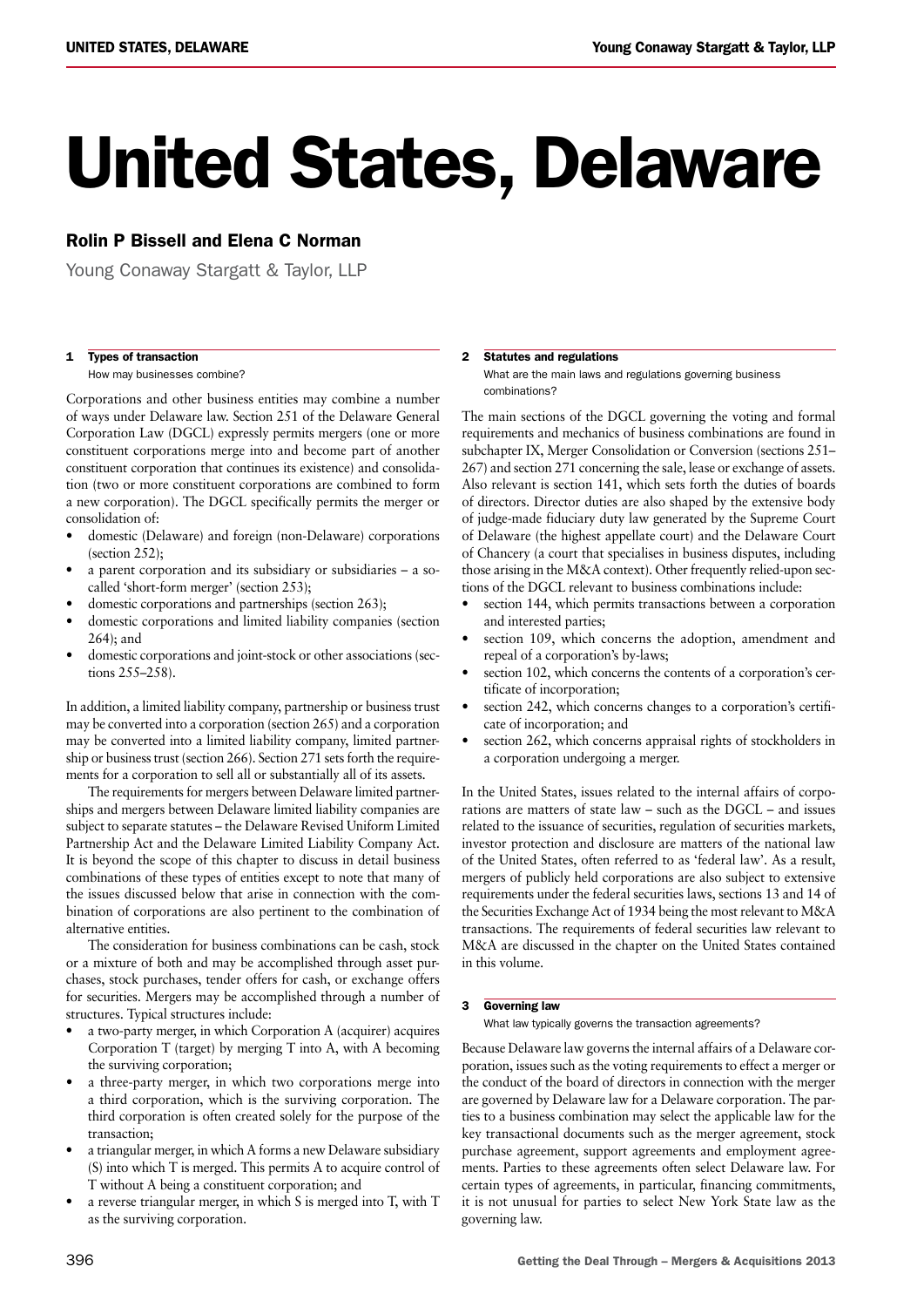# United States, Delaware

#### Rolin P Bissell and Elena C Norman

Young Conaway Stargatt & Taylor, LLP

#### 1 Types of transaction

How may businesses combine?

Corporations and other business entities may combine a number of ways under Delaware law. Section 251 of the Delaware General Corporation Law (DGCL) expressly permits mergers (one or more constituent corporations merge into and become part of another constituent corporation that continues its existence) and consolidation (two or more constituent corporations are combined to form a new corporation). The DGCL specifically permits the merger or consolidation of:

- domestic (Delaware) and foreign (non-Delaware) corporations (section 252);
- a parent corporation and its subsidiary or subsidiaries a socalled 'short-form merger' (section 253);
- domestic corporations and partnerships (section 263);
- domestic corporations and limited liability companies (section 264); and
- domestic corporations and joint-stock or other associations (sections 255–258).

In addition, a limited liability company, partnership or business trust may be converted into a corporation (section 265) and a corporation may be converted into a limited liability company, limited partnership or business trust (section 266). Section 271 sets forth the requirements for a corporation to sell all or substantially all of its assets.

The requirements for mergers between Delaware limited partnerships and mergers between Delaware limited liability companies are subject to separate statutes – the Delaware Revised Uniform Limited Partnership Act and the Delaware Limited Liability Company Act. It is beyond the scope of this chapter to discuss in detail business combinations of these types of entities except to note that many of the issues discussed below that arise in connection with the combination of corporations are also pertinent to the combination of alternative entities.

The consideration for business combinations can be cash, stock or a mixture of both and may be accomplished through asset purchases, stock purchases, tender offers for cash, or exchange offers for securities. Mergers may be accomplished through a number of structures. Typical structures include:

- a two-party merger, in which Corporation A (acquirer) acquires Corporation T (target) by merging T into A, with A becoming the surviving corporation;
- a three-party merger, in which two corporations merge into a third corporation, which is the surviving corporation. The third corporation is often created solely for the purpose of the transaction;
- a triangular merger, in which A forms a new Delaware subsidiary (S) into which T is merged. This permits A to acquire control of T without A being a constituent corporation; and
- a reverse triangular merger, in which  $S$  is merged into  $T$ , with  $T$ as the surviving corporation.

#### 2 Statutes and regulations

What are the main laws and regulations governing business combinations?

The main sections of the DGCL governing the voting and formal requirements and mechanics of business combinations are found in subchapter IX, Merger Consolidation or Conversion (sections 251– 267) and section 271 concerning the sale, lease or exchange of assets. Also relevant is section 141, which sets forth the duties of boards of directors. Director duties are also shaped by the extensive body of judge-made fiduciary duty law generated by the Supreme Court of Delaware (the highest appellate court) and the Delaware Court of Chancery (a court that specialises in business disputes, including those arising in the M&A context). Other frequently relied-upon sections of the DGCL relevant to business combinations include:

- section 144, which permits transactions between a corporation and interested parties;
- section 109, which concerns the adoption, amendment and repeal of a corporation's by-laws;
- section 102, which concerns the contents of a corporation's certificate of incorporation;
- section 242, which concerns changes to a corporation's certificate of incorporation; and
- section 262, which concerns appraisal rights of stockholders in a corporation undergoing a merger.

In the United States, issues related to the internal affairs of corporations are matters of state law – such as the DGCL – and issues related to the issuance of securities, regulation of securities markets, investor protection and disclosure are matters of the national law of the United States, often referred to as 'federal law'. As a result, mergers of publicly held corporations are also subject to extensive requirements under the federal securities laws, sections 13 and 14 of the Securities Exchange Act of 1934 being the mostrelevant to M&A transactions. The requirements of federal securities law relevant to M&A are discussed in the chapter on the United States contained in this volume.

#### 3 Governing law

What law typically governs the transaction agreements?

Because Delaware law governs the internal affairs of a Delaware corporation, issues such as the voting requirements to effect a merger or the conduct of the board of directors in connection with the merger are governed by Delaware law for a Delaware corporation. The parties to a business combination may select the applicable law for the key transactional documents such as the merger agreement, stock purchase agreement, support agreements and employment agreements. Parties to these agreements often select Delaware law. For certain types of agreements, in particular, financing commitments, it is not unusual for parties to select New York State law as the governing law.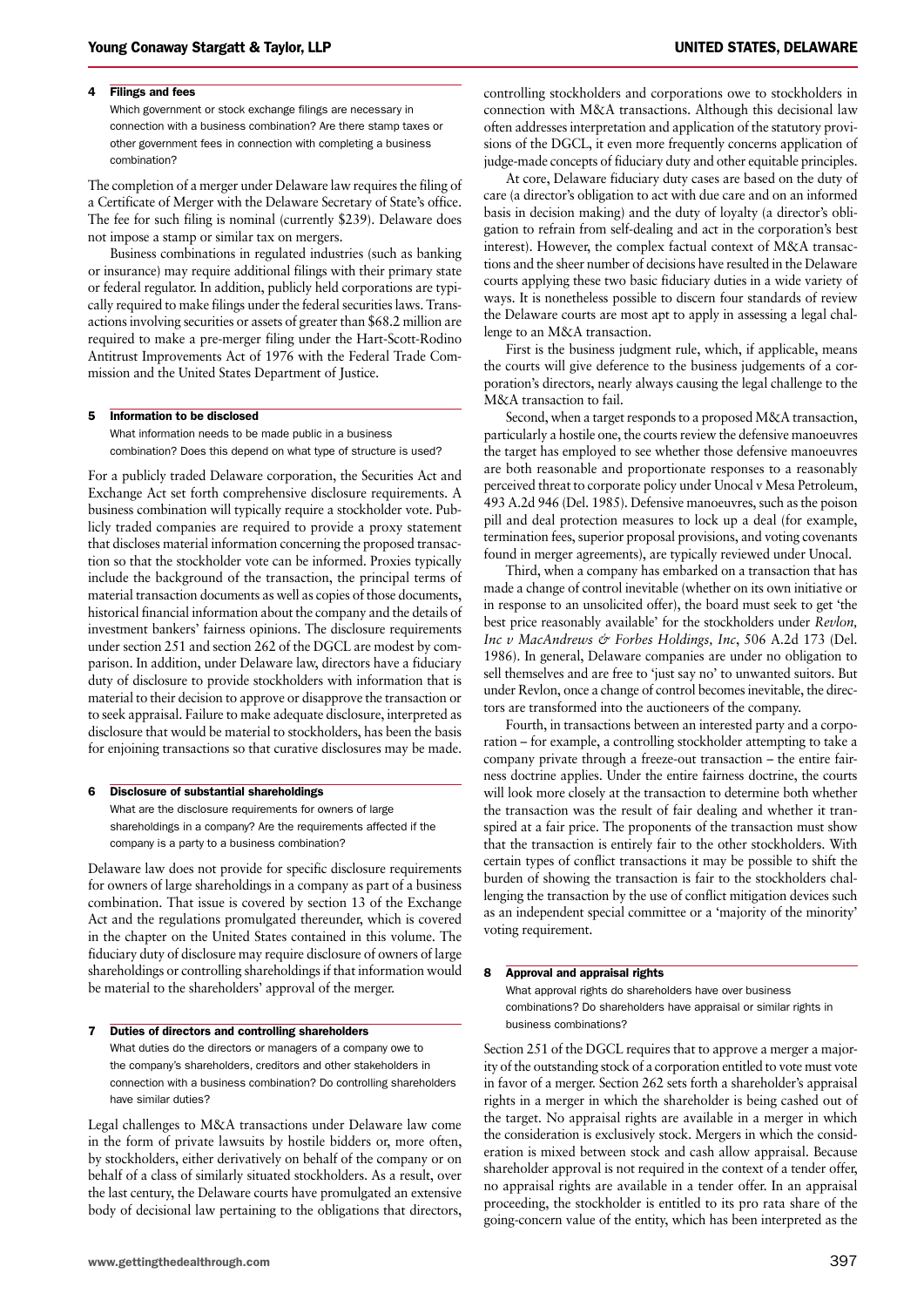#### 4 Filings and fees

Which government or stock exchange filings are necessary in connection with a business combination? Are there stamp taxes or other government fees in connection with completing a business combination?

The completion of a merger under Delaware law requires the filing of a Certificate of Merger with the Delaware Secretary of State's office. The fee for such filing is nominal (currently \$239). Delaware does not impose a stamp or similar tax on mergers.

Business combinations in regulated industries (such as banking or insurance) may require additional filings with their primary state or federal regulator. In addition, publicly held corporations are typically required to make filings under the federal securities laws. Transactions involving securities or assets of greater than \$68.2 million are required to make a pre-merger filing under the Hart-Scott-Rodino Antitrust Improvements Act of 1976 with the Federal Trade Commission and the United States Department of Justice.

#### 5 Information to be disclosed

What information needs to be made public in a business combination? Does this depend on what type of structure is used?

For a publicly traded Delaware corporation, the Securities Act and Exchange Act set forth comprehensive disclosure requirements. A business combination will typically require a stockholder vote. Publicly traded companies are required to provide a proxy statement that discloses material information concerning the proposed transaction so that the stockholder vote can be informed. Proxies typically include the background of the transaction, the principal terms of material transaction documents as well as copies of those documents, historical financial information about the company and the details of investment bankers' fairness opinions. The disclosure requirements under section 251 and section 262 of the DGCL are modest by comparison. In addition, under Delaware law, directors have a fiduciary duty of disclosure to provide stockholders with information that is material to their decision to approve or disapprove the transaction or to seek appraisal. Failure to make adequate disclosure, interpreted as disclosure that would be material to stockholders, has been the basis for enjoining transactions so that curative disclosures may be made.

#### 6 Disclosure of substantial shareholdings

What are the disclosure requirements for owners of large shareholdings in a company? Are the requirements affected if the company is a party to a business combination?

Delaware law does not provide for specific disclosure requirements for owners of large shareholdings in a company as part of a business combination. That issue is covered by section 13 of the Exchange Act and the regulations promulgated thereunder, which is covered in the chapter on the United States contained in this volume. The fiduciary duty of disclosure may require disclosure of owners of large shareholdings or controlling shareholdings if that information would be material to the shareholders' approval of the merger.

#### 7 Duties of directors and controlling shareholders

What duties do the directors or managers of a company owe to the company's shareholders, creditors and other stakeholders in connection with a business combination? Do controlling shareholders have similar duties?

Legal challenges to M&A transactions under Delaware law come in the form of private lawsuits by hostile bidders or, more often, by stockholders, either derivatively on behalf of the company or on behalf of a class of similarly situated stockholders. As a result, over the last century, the Delaware courts have promulgated an extensive body of decisional law pertaining to the obligations that directors, controlling stockholders and corporations owe to stockholders in connection with M&A transactions. Although this decisional law often addresses interpretation and application of the statutory provisions of the DGCL, it even more frequently concerns application of judge-made concepts of fiduciary duty and other equitable principles.

At core, Delaware fiduciary duty cases are based on the duty of care (a director's obligation to act with due care and on an informed basis in decision making) and the duty of loyalty (a director's obligation to refrain from self-dealing and act in the corporation's best interest). However, the complex factual context of M&A transactions and the sheer number of decisions have resulted in the Delaware courts applying these two basic fiduciary duties in a wide variety of ways. It is nonetheless possible to discern four standards of review the Delaware courts are most apt to apply in assessing a legal challenge to an M&A transaction.

First is the business judgment rule, which, if applicable, means the courts will give deference to the business judgements of a corporation's directors, nearly always causing the legal challenge to the M&A transaction to fail.

Second, when a target responds to a proposed M&A transaction, particularly a hostile one, the courts review the defensive manoeuvres the target has employed to see whether those defensive manoeuvres are both reasonable and proportionate responses to a reasonably perceived threat to corporate policy under Unocal v Mesa Petroleum, 493 A.2d 946 (Del. 1985). Defensive manoeuvres, such as the poison pill and deal protection measures to lock up a deal (for example, termination fees, superior proposal provisions, and voting covenants found in merger agreements), are typically reviewed under Unocal.

Third, when a company has embarked on a transaction that has made a change of control inevitable (whether on its own initiative or in response to an unsolicited offer), the board must seek to get 'the best price reasonably available' for the stockholders under *Revlon, Inc v MacAndrews & Forbes Holdings, Inc*, 506 A.2d 173 (Del. 1986). In general, Delaware companies are under no obligation to sell themselves and are free to 'just say no' to unwanted suitors. But under Revlon, once a change of control becomesinevitable, the directors are transformed into the auctioneers of the company.

Fourth, in transactions between an interested party and a corporation – for example, a controlling stockholder attempting to take a company private through a freeze-out transaction – the entire fairness doctrine applies. Under the entire fairness doctrine, the courts will look more closely at the transaction to determine both whether the transaction was the result of fair dealing and whether it transpired at a fair price. The proponents of the transaction must show that the transaction is entirely fair to the other stockholders. With certain types of conflict transactions it may be possible to shift the burden of showing the transaction is fair to the stockholders challenging the transaction by the use of conflict mitigation devices such as an independent special committee or a 'majority of the minority' voting requirement.

#### 8 Approval and appraisal rights

What approval rights do shareholders have over business combinations? Do shareholders have appraisal or similar rights in business combinations?

Section 251 of the DGCL requires that to approve a merger a majority of the outstanding stock of a corporation entitled to vote must vote in favor of a merger. Section 262 sets forth a shareholder's appraisal rights in a merger in which the shareholder is being cashed out of the target. No appraisal rights are available in a merger in which the consideration is exclusively stock. Mergers in which the consideration is mixed between stock and cash allow appraisal. Because shareholder approval is not required in the context of a tender offer, no appraisal rights are available in a tender offer. In an appraisal proceeding, the stockholder is entitled to its pro rata share of the going-concern value of the entity, which has been interpreted as the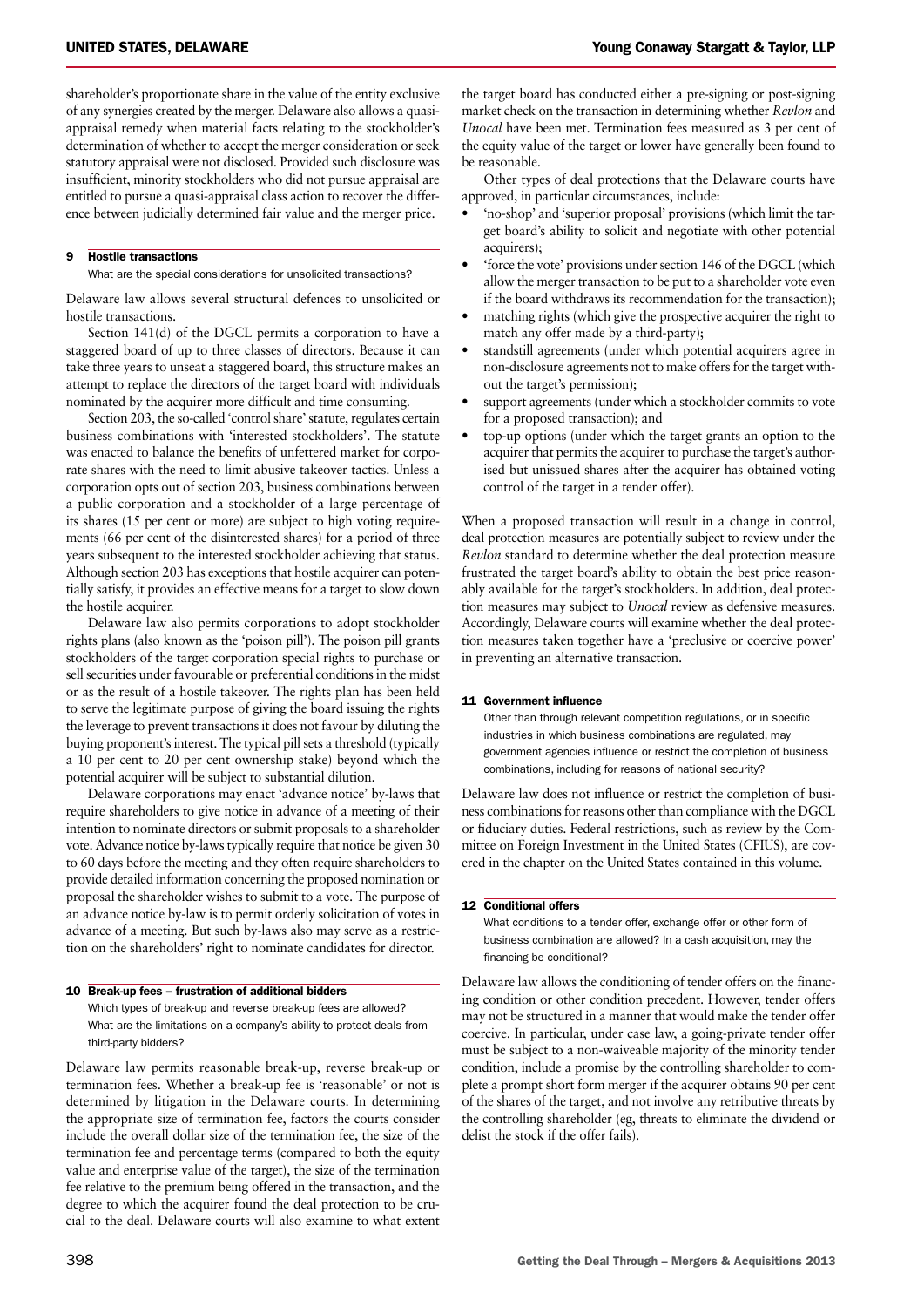shareholder's proportionate share in the value of the entity exclusive of any synergies created by the merger. Delaware also allows a quasiappraisal remedy when material facts relating to the stockholder's determination of whether to accept the merger consideration or seek statutory appraisal were not disclosed. Provided such disclosure was insufficient, minority stockholders who did not pursue appraisal are entitled to pursue a quasi-appraisal class action to recover the difference between judicially determined fair value and the merger price.

#### 9 Hostile transactions

What are the special considerations for unsolicited transactions?

Delaware law allows several structural defences to unsolicited or hostile transactions.

Section 141(d) of the DGCL permits a corporation to have a staggered board of up to three classes of directors. Because it can take three years to unseat a staggered board, this structure makes an attempt to replace the directors of the target board with individuals nominated by the acquirer more difficult and time consuming.

Section 203, the so-called 'control share' statute, regulates certain business combinations with 'interested stockholders'. The statute was enacted to balance the benefits of unfettered market for corporate shares with the need to limit abusive takeover tactics. Unless a corporation opts out of section 203, business combinations between a public corporation and a stockholder of a large percentage of its shares (15 per cent or more) are subject to high voting requirements (66 per cent of the disinterested shares) for a period of three years subsequent to the interested stockholder achieving that status. Although section 203 has exceptions that hostile acquirer can potentially satisfy, it provides an effective means for a target to slow down the hostile acquirer.

Delaware law also permits corporations to adopt stockholder rights plans (also known as the 'poison pill'). The poison pill grants stockholders of the target corporation special rights to purchase or sell securities under favourable or preferential conditions in the midst or as the result of a hostile takeover. The rights plan has been held to serve the legitimate purpose of giving the board issuing the rights the leverage to prevent transactions it does not favour by diluting the buying proponent's interest. The typical pill sets a threshold (typically a 10 per cent to 20 per cent ownership stake) beyond which the potential acquirer will be subject to substantial dilution.

Delaware corporations may enact 'advance notice' by-laws that require shareholders to give notice in advance of a meeting of their intention to nominate directors or submit proposals to a shareholder vote. Advance notice by-lawstypically require that notice be given 30 to 60 days before the meeting and they often require shareholders to provide detailed information concerning the proposed nomination or proposal the shareholder wishes to submit to a vote. The purpose of an advance notice by-law is to permit orderly solicitation of votes in advance of a meeting. But such by-laws also may serve as a restriction on the shareholders' right to nominate candidates for director.

#### 10 Break-up fees – frustration of additional bidders

Which types of break-up and reverse break-up fees are allowed? What are the limitations on a company's ability to protect deals from third-party bidders?

Delaware law permits reasonable break-up, reverse break-up or termination fees. Whether a break-up fee is 'reasonable' or not is determined by litigation in the Delaware courts. In determining the appropriate size of termination fee, factors the courts consider include the overall dollar size of the termination fee, the size of the termination fee and percentage terms (compared to both the equity value and enterprise value of the target), the size of the termination fee relative to the premium being offered in the transaction, and the degree to which the acquirer found the deal protection to be crucial to the deal. Delaware courts will also examine to what extent

the target board has conducted either a pre-signing or post-signing market check on the transaction in determining whether *Revlon* and *Unocal* have been met. Termination fees measured as 3 per cent of the equity value of the target or lower have generally been found to be reasonable.

Other types of deal protections that the Delaware courts have approved, in particular circumstances, include:

- 'no-shop' and 'superior proposal' provisions (which limit the target board's ability to solicit and negotiate with other potential acquirers);
- 'force the vote' provisions under section 146 of the DGCL (which allow the merger transaction to be put to a shareholder vote even if the board withdraws its recommendation for the transaction);
- matching rights (which give the prospective acquirer the right to match any offer made by a third-party);
- standstill agreements (under which potential acquirers agree in non-disclosure agreements not to make offers for the target without the target's permission);
- support agreements (under which a stockholder commits to vote for a proposed transaction); and
- top-up options (under which the target grants an option to the acquirer that permits the acquirer to purchase the target's authorised but unissued shares after the acquirer has obtained voting control of the target in a tender offer).

When a proposed transaction will result in a change in control, deal protection measures are potentially subject to review under the *Revlon* standard to determine whether the deal protection measure frustrated the target board's ability to obtain the best price reasonably available for the target's stockholders. In addition, deal protection measures may subject to *Unocal* review as defensive measures. Accordingly, Delaware courts will examine whether the deal protection measures taken together have a 'preclusive or coercive power' in preventing an alternative transaction.

#### 11 Government influence

Other than through relevant competition regulations, or in specific industries in which business combinations are regulated, may government agencies influence or restrict the completion of business combinations, including for reasons of national security?

Delaware law does not influence or restrict the completion of business combinations for reasons other than compliance with the DGCL or fiduciary duties. Federal restrictions, such as review by the Committee on Foreign Investment in the United States (CFIUS), are covered in the chapter on the United States contained in this volume.

#### 12 Conditional offers

What conditions to a tender offer, exchange offer or other form of business combination are allowed? In a cash acquisition, may the financing be conditional?

Delaware law allows the conditioning of tender offers on the financing condition or other condition precedent. However, tender offers may not be structured in a manner that would make the tender offer coercive. In particular, under case law, a going-private tender offer must be subject to a non-waiveable majority of the minority tender condition, include a promise by the controlling shareholder to complete a prompt short form merger if the acquirer obtains 90 per cent of the shares of the target, and not involve any retributive threats by the controlling shareholder (eg, threats to eliminate the dividend or delist the stock if the offer fails).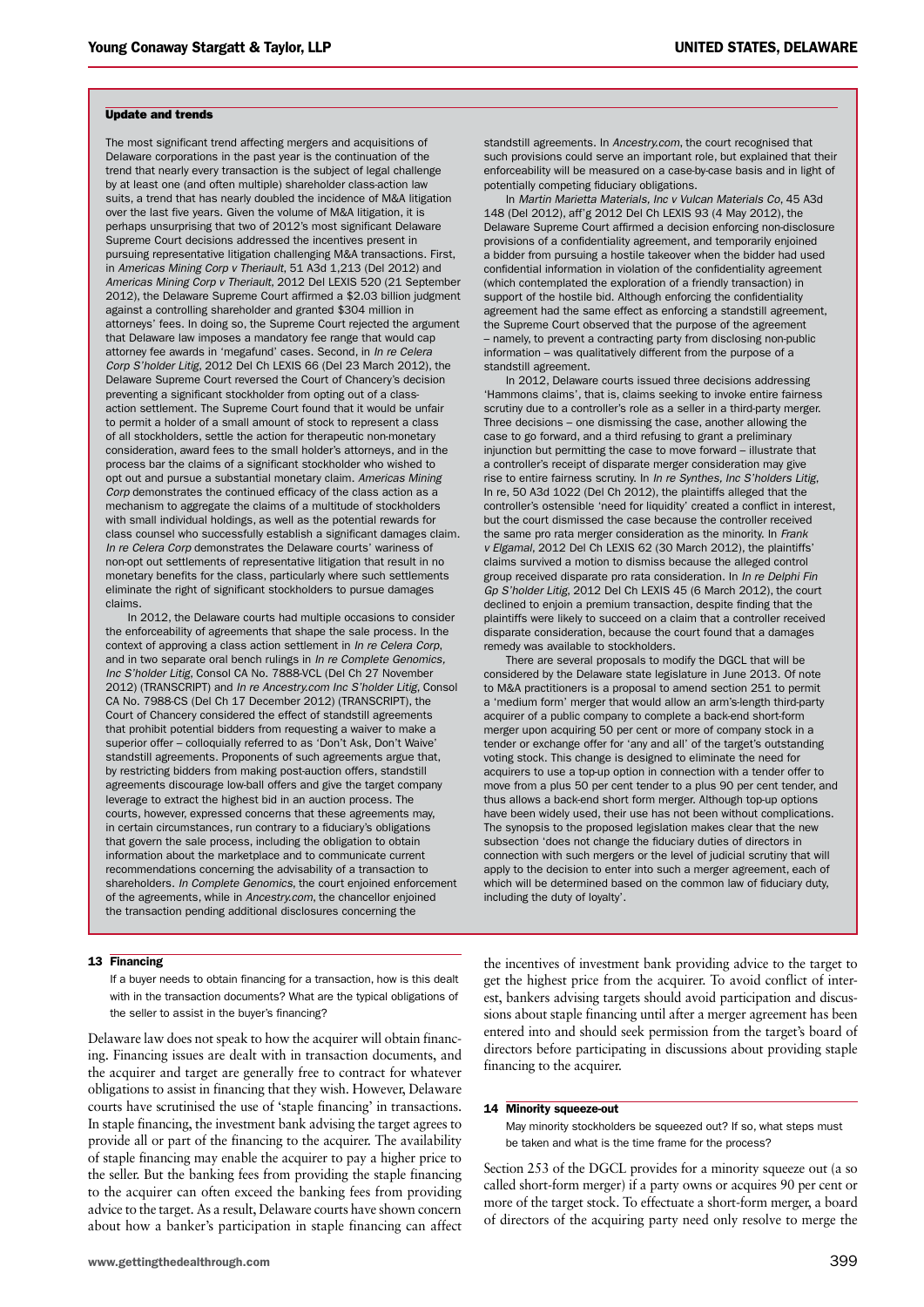#### Update and trends

The most significant trend affecting mergers and acquisitions of Delaware corporations in the past year is the continuation of the trend that nearly every transaction is the subject of legal challenge by at least one (and often multiple) shareholder class-action law suits, a trend that has nearly doubled the incidence of M&A litigation over the last five years. Given the volume of M&A litigation, it is perhaps unsurprising that two of 2012's most significant Delaware Supreme Court decisions addressed the incentives present in pursuing representative litigation challenging M&A transactions. First, in *Americas Mining Corp v Theriault*, 51 A3d 1,213 (Del 2012) and *Americas Mining Corp v Theriault*, 2012 Del LEXIS 520 (21 September 2012), the Delaware Supreme Court affirmed a \$2.03 billion judgment against a controlling shareholder and granted \$304 million in attorneys' fees. In doing so, the Supreme Court rejected the argument that Delaware law imposes a mandatory fee range that would cap attorney fee awards in 'megafund' cases. Second, in *In re Celera Corp S'holder Litig*, 2012 Del Ch LEXIS 66 (Del 23 March 2012), the Delaware Supreme Court reversed the Court of Chancery's decision preventing a significant stockholder from opting out of a classaction settlement. The Supreme Court found that it would be unfair to permit a holder of a small amount of stock to represent a class of all stockholders, settle the action for therapeutic non-monetary consideration, award fees to the small holder's attorneys, and in the process bar the claims of a significant stockholder who wished to opt out and pursue a substantial monetary claim. *Americas Mining Corp* demonstrates the continued efficacy of the class action as a mechanism to aggregate the claims of a multitude of stockholders with small individual holdings, as well as the potential rewards for class counsel who successfully establish a significant damages claim. *In re Celera Corp* demonstrates the Delaware courts' wariness of non-opt out settlements of representative litigation that result in no monetary benefits for the class, particularly where such settlements eliminate the right of significant stockholders to pursue damages claims.

In 2012, the Delaware courts had multiple occasions to consider the enforceability of agreements that shape the sale process. In the context of approving a class action settlement in *In re Celera Corp*, and in two separate oral bench rulings in *In re Complete Genomics, Inc S'holder Litig*, Consol CA No. 7888-VCL (Del Ch 27 November 2012) (TRANSCRIPT) and *In re Ancestry.com Inc S'holder Litig*, Consol CA No. 7988-CS (Del Ch 17 December 2012) (TRANSCRIPT), the Court of Chancery considered the effect of standstill agreements that prohibit potential bidders from requesting a waiver to make a superior offer – colloquially referred to as 'Don't Ask, Don't Waive' standstill agreements. Proponents of such agreements argue that, by restricting bidders from making post-auction offers, standstill agreements discourage low-ball offers and give the target company leverage to extract the highest bid in an auction process. The courts, however, expressed concerns that these agreements may, in certain circumstances, run contrary to a fiduciary's obligations that govern the sale process, including the obligation to obtain information about the marketplace and to communicate current recommendations concerning the advisability of a transaction to shareholders. *In Complete Genomics*, the court enjoined enforcement of the agreements, while in *Ancestry.com*, the chancellor enjoined the transaction pending additional disclosures concerning the

standstill agreements. In *Ancestry.com*, the court recognised that such provisions could serve an important role, but explained that their enforceability will be measured on a case-by-case basis and in light of potentially competing fiduciary obligations.

In *Martin Marietta Materials, Inc v Vulcan Materials Co*, 45 A3d 148 (Del 2012), aff'g 2012 Del Ch LEXIS 93 (4 May 2012), the Delaware Supreme Court affirmed a decision enforcing non-disclosure provisions of a confidentiality agreement, and temporarily enjoined a bidder from pursuing a hostile takeover when the bidder had used confidential information in violation of the confidentiality agreement (which contemplated the exploration of a friendly transaction) in support of the hostile bid. Although enforcing the confidentiality agreement had the same effect as enforcing a standstill agreement, the Supreme Court observed that the purpose of the agreement – namely, to prevent a contracting party from disclosing non-public information – was qualitatively different from the purpose of a standstill agreement.

In 2012, Delaware courts issued three decisions addressing 'Hammons claims', that is, claims seeking to invoke entire fairness scrutiny due to a controller's role as a seller in a third-party merger. Three decisions – one dismissing the case, another allowing the case to go forward, and a third refusing to grant a preliminary injunction but permitting the case to move forward – illustrate that a controller's receipt of disparate merger consideration may give rise to entire fairness scrutiny. In *In re Synthes, Inc S'holders Litig*, In re, 50 A3d 1022 (Del Ch 2012), the plaintiffs alleged that the controller's ostensible 'need for liquidity' created a conflict in interest, but the court dismissed the case because the controller received the same pro rata merger consideration as the minority. In *Frank v Elgamal*, 2012 Del Ch LEXIS 62 (30 March 2012), the plaintiffs' claims survived a motion to dismiss because the alleged control group received disparate pro rata consideration. In *In re Delphi Fin Gp S'holder Litig*, 2012 Del Ch LEXIS 45 (6 March 2012), the court declined to enjoin a premium transaction, despite finding that the plaintiffs were likely to succeed on a claim that a controller received disparate consideration, because the court found that a damages remedy was available to stockholders.

There are several proposals to modify the DGCL that will be considered by the Delaware state legislature in June 2013. Of note to M&A practitioners is a proposal to amend section 251 to permit a 'medium form' merger that would allow an arm's-length third-party acquirer of a public company to complete a back-end short-form merger upon acquiring 50 per cent or more of company stock in a tender or exchange offer for 'any and all' of the target's outstanding voting stock. This change is designed to eliminate the need for acquirers to use a top-up option in connection with a tender offer to move from a plus 50 per cent tender to a plus 90 per cent tender, and thus allows a back-end short form merger. Although top-up options have been widely used, their use has not been without complications. The synopsis to the proposed legislation makes clear that the new subsection 'does not change the fiduciary duties of directors in connection with such mergers or the level of judicial scrutiny that will apply to the decision to enter into such a merger agreement, each of which will be determined based on the common law of fiduciary duty, including the duty of loyalty'.

#### 13 Financing

If a buyer needs to obtain financing for a transaction, how is this dealt with in the transaction documents? What are the typical obligations of the seller to assist in the buyer's financing?

Delaware law does not speak to how the acquirer will obtain financing. Financing issues are dealt with in transaction documents, and the acquirer and target are generally free to contract for whatever obligations to assist in financing that they wish. However, Delaware courts have scrutinised the use of 'staple financing' in transactions. In staple financing, the investment bank advising the target agrees to provide all or part of the financing to the acquirer. The availability of staple financing may enable the acquirer to pay a higher price to the seller. But the banking fees from providing the staple financing to the acquirer can often exceed the banking fees from providing advice to the target. As a result, Delaware courts have shown concern about how a banker's participation in staple financing can affect

the incentives of investment bank providing advice to the target to get the highest price from the acquirer. To avoid conflict of interest, bankers advising targets should avoid participation and discussions about staple financing until after a merger agreement has been entered into and should seek permission from the target's board of directors before participating in discussions about providing staple financing to the acquirer.

#### 14 Minority squeeze-out

May minority stockholders be squeezed out? If so, what steps must be taken and what is the time frame for the process?

Section 253 of the DGCL provides for a minority squeeze out (a so called short-form merger) if a party owns or acquires 90 per cent or more of the target stock. To effectuate a short-form merger, a board of directors of the acquiring party need only resolve to merge the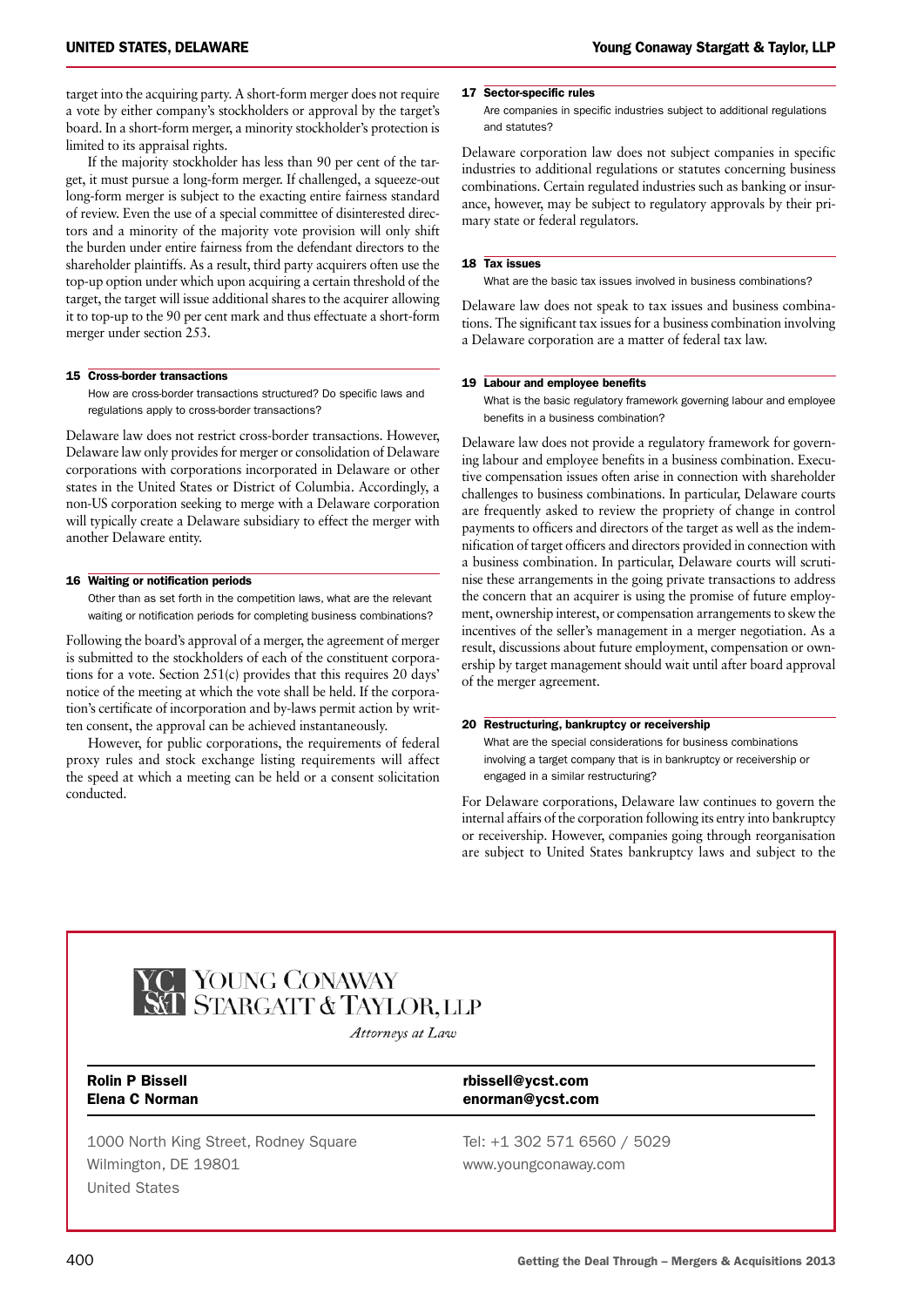target into the acquiring party. A short-form merger does not require a vote by either company's stockholders or approval by the target's board. In a short-form merger, a minority stockholder's protection is limited to its appraisal rights.

If the majority stockholder has less than 90 per cent of the target, it must pursue a long-form merger. If challenged, a squeeze-out long-form merger is subject to the exacting entire fairness standard of review. Even the use of a special committee of disinterested directors and a minority of the majority vote provision will only shift the burden under entire fairness from the defendant directors to the shareholder plaintiffs. As a result, third party acquirers often use the top-up option under which upon acquiring a certain threshold of the target, the target will issue additional shares to the acquirer allowing it to top-up to the 90 per cent mark and thus effectuate a short-form merger under section 253.

#### 15 Cross-border transactions

How are cross-border transactions structured? Do specific laws and regulations apply to cross-border transactions?

Delaware law does not restrict cross-border transactions. However, Delaware law only provides for merger or consolidation of Delaware corporations with corporations incorporated in Delaware or other states in the United States or District of Columbia. Accordingly, a non-US corporation seeking to merge with a Delaware corporation will typically create a Delaware subsidiary to effect the merger with another Delaware entity.

#### 16 Waiting or notification periods

Other than as set forth in the competition laws, what are the relevant waiting or notification periods for completing business combinations?

Following the board's approval of a merger, the agreement of merger is submitted to the stockholders of each of the constituent corporations for a vote. Section 251(c) provides that this requires 20 days' notice of the meeting at which the vote shall be held. If the corporation's certificate of incorporation and by-laws permit action by written consent, the approval can be achieved instantaneously.

However, for public corporations, the requirements of federal proxy rules and stock exchange listing requirements will affect the speed at which a meeting can be held or a consent solicitation conducted.

#### 17 Sector-specific rules

Are companies in specific industries subject to additional regulations and statutes?

Delaware corporation law does not subject companies in specific industries to additional regulations or statutes concerning business combinations. Certain regulated industries such as banking or insurance, however, may be subject to regulatory approvals by their primary state or federal regulators.

#### 18 Tax issues

What are the basic tax issues involved in business combinations?

Delaware law does not speak to tax issues and business combinations. The significant tax issues for a business combination involving a Delaware corporation are a matter of federal tax law.

#### 19 Labour and employee benefits

What is the basic regulatory framework governing labour and employee benefits in a business combination?

Delaware law does not provide a regulatory framework for governing labour and employee benefits in a business combination. Executive compensation issues often arise in connection with shareholder challenges to business combinations. In particular, Delaware courts are frequently asked to review the propriety of change in control payments to officers and directors of the target as well as the indemnification of target officers and directors provided in connection with a business combination. In particular, Delaware courts will scrutinise these arrangements in the going private transactions to address the concern that an acquirer is using the promise of future employment, ownership interest, or compensation arrangements to skew the incentives of the seller's management in a merger negotiation. As a result, discussions about future employment, compensation or ownership by target management should wait until after board approval of the merger agreement.

#### 20 Restructuring, bankruptcy or receivership

What are the special considerations for business combinations involving a target company that is in bankruptcy or receivership or engaged in a similar restructuring?

For Delaware corporations, Delaware law continues to govern the internal affairs of the corporation following its entry into bankruptcy or receivership. However, companies going through reorganisation are subject to United States bankruptcy laws and subject to the



Attorneys at Law

1000 North King Street, Rodney Square Tel: +1 302 571 6560 / 5029 Wilmington, DE 19801 www.youngconaway.com United States

Rolin P Bissell rbissell@ycst.com Elena C Norman enorman@ycst.com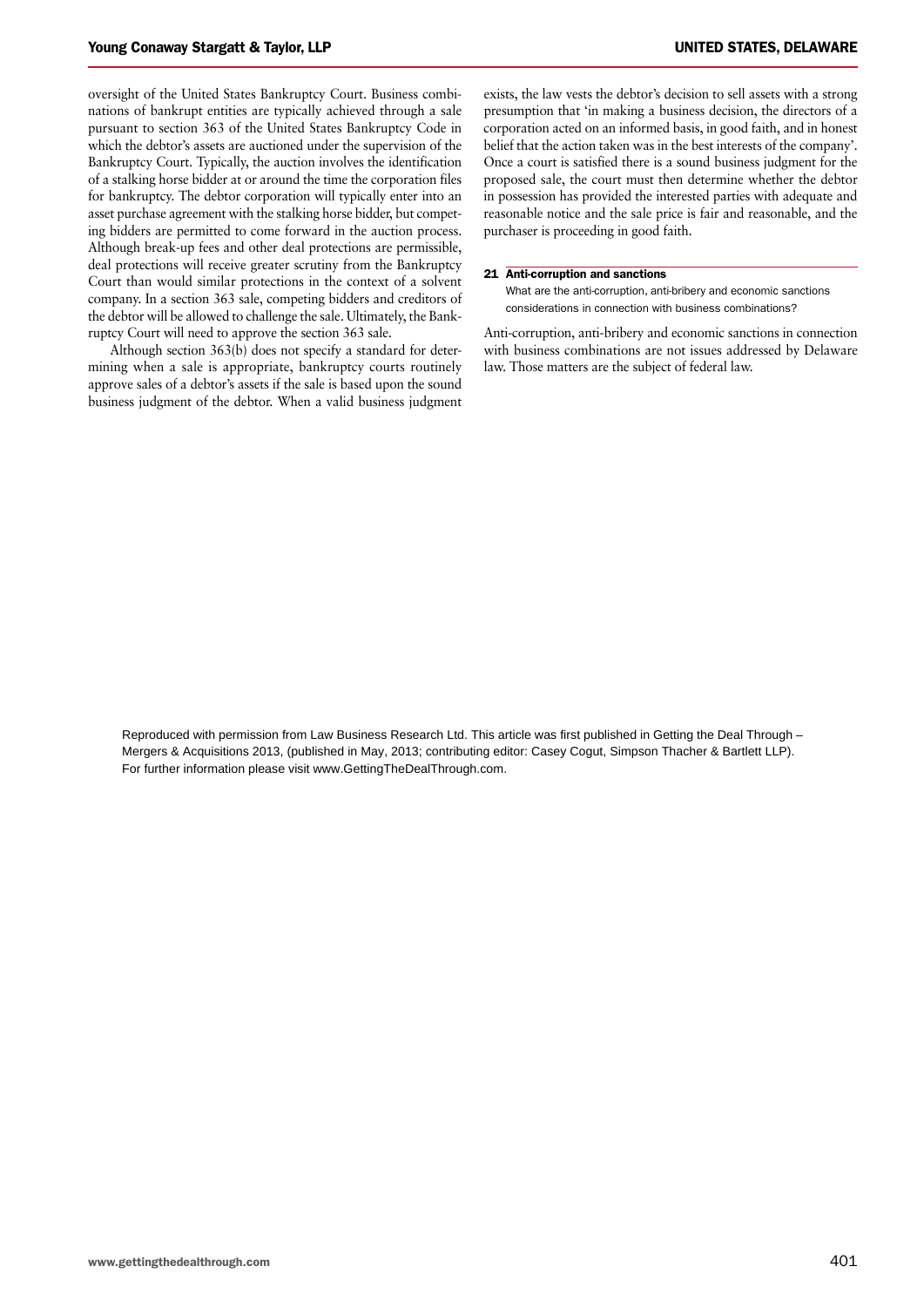oversight of the United States Bankruptcy Court. Business combinations of bankrupt entities are typically achieved through a sale pursuant to section 363 of the United States Bankruptcy Code in which the debtor's assets are auctioned under the supervision of the Bankruptcy Court. Typically, the auction involves the identification of a stalking horse bidder at or around the time the corporation files for bankruptcy. The debtor corporation will typically enter into an asset purchase agreement with the stalking horse bidder, but competing bidders are permitted to come forward in the auction process. Although break-up fees and other deal protections are permissible, deal protections will receive greater scrutiny from the Bankruptcy Court than would similar protections in the context of a solvent company. In a section 363 sale, competing bidders and creditors of the debtor will be allowed to challenge the sale. Ultimately, the Bankruptcy Court will need to approve the section 363 sale.

Although section 363(b) does not specify a standard for determining when a sale is appropriate, bankruptcy courts routinely approve sales of a debtor's assets if the sale is based upon the sound business judgment of the debtor. When a valid business judgment exists, the law vests the debtor's decision to sell assets with a strong presumption that 'in making a business decision, the directors of a corporation acted on an informed basis, in good faith, and in honest belief that the action taken was in the best interests of the company'. Once a court is satisfied there is a sound business judgment for the proposed sale, the court must then determine whether the debtor in possession has provided the interested parties with adequate and reasonable notice and the sale price is fair and reasonable, and the purchaser is proceeding in good faith.

#### 21 Anti-corruption and sanctions

What are the anti-corruption, anti-bribery and economic sanctions considerations in connection with business combinations?

Anti-corruption, anti-bribery and economic sanctions in connection with business combinations are not issues addressed by Delaware law. Those matters are the subject of federal law.

Reproduced with permission from Law Business Research Ltd. This article was first published in Getting the Deal Through – Mergers & Acquisitions 2013, (published in May, 2013; contributing editor: Casey Cogut, Simpson Thacher & Bartlett LLP). For further information please visit www.GettingTheDealThrough.com.